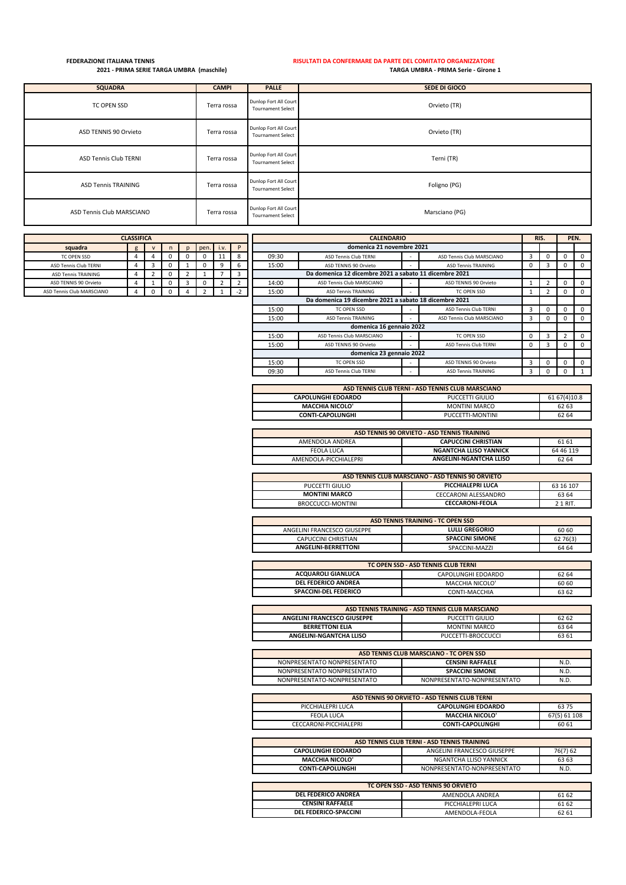## **FEDERAZIONE ITALIANA TENNIS RISULTATI DA CONFERMARE DA PARTE DEL COMITATO ORGANIZZATORE 2021 - PRIMA SERIE TARGA UMBRA (maschile) TARGA UMBRA - PRIMA Serie - Girone 1**

| <b>SQUADRA</b>               | <b>CAMPI</b> | <b>PALLE</b>                                      | SEDE DI GIOCO  |
|------------------------------|--------------|---------------------------------------------------|----------------|
| TC OPEN SSD                  | Terra rossa  | Dunlop Fort All Court<br><b>Tournament Select</b> | Orvieto (TR)   |
| ASD TENNIS 90 Orvieto        | Terra rossa  | Dunlop Fort All Court<br><b>Tournament Select</b> | Orvieto (TR)   |
| <b>ASD Tennis Club TERNI</b> | Terra rossa  | Dunlop Fort All Court<br><b>Tournament Select</b> | Terni (TR)     |
| <b>ASD Tennis TRAINING</b>   | Terra rossa  | Dunlop Fort All Court<br><b>Tournament Select</b> | Foligno (PG)   |
| ASD Tennis Club MARSCIANO    | Terra rossa  | Dunlop Fort All Court<br><b>Tournament Select</b> | Marsciano (PG) |

| <b>CLASSIFICA</b>            |  |  |    |  |      |      |                          | <b>CALENDARIO</b> |                                                        |  |                              |  | RIS. |          | PEN. |
|------------------------------|--|--|----|--|------|------|--------------------------|-------------------|--------------------------------------------------------|--|------------------------------|--|------|----------|------|
| squadra                      |  |  |    |  | pen. | i.v. | n                        |                   | domenica 21 novembre 2021                              |  |                              |  |      |          |      |
| TC OPEN SSD                  |  |  |    |  |      | ᅭ    |                          | 09:30             | <b>ASD Tennis Club TERNI</b>                           |  | ASD Tennis Club MARSCIANO    |  |      | 0        |      |
| <b>ASD Tennis Club TERNI</b> |  |  |    |  |      | a    |                          | 15:00             | ASD TENNIS 90 Orvieto                                  |  | <b>ASD Tennis TRAINING</b>   |  |      | $\Omega$ |      |
| <b>ASD Tennis TRAINING</b>   |  |  | О. |  |      |      |                          |                   | Da domenica 12 dicembre 2021 a sabato 11 dicembre 2021 |  |                              |  |      |          |      |
| ASD TENNIS 90 Orvieto        |  |  | v  |  |      |      |                          | 14:00             | ASD Tennis Club MARSCIANO                              |  | ASD TENNIS 90 Orvieto        |  |      | $\Omega$ |      |
| ASD Tennis Club MARSCIANO    |  |  |    |  |      |      | $\overline{\phantom{a}}$ | 15:00             | <b>ASD Tennis TRAINING</b>                             |  | TC OPEN SSD                  |  |      |          |      |
|                              |  |  |    |  |      |      |                          |                   | Da domenica 19 dicembre 2021 a sabato 18 dicembre 2021 |  |                              |  |      |          |      |
|                              |  |  |    |  |      |      |                          | 15:00             | <b>TC OPEN SSD</b>                                     |  | <b>ASD Tennis Club TERNI</b> |  |      |          |      |
|                              |  |  |    |  |      |      |                          | 15:00             | <b>ASD Tennis TRAINING</b>                             |  | ASD Tennis Club MARSCIANO    |  |      |          |      |

| 15:00                    | ASD Tennis TRAINING                                     |  | TC OPEN SSD                  |   |  |  |  |
|--------------------------|---------------------------------------------------------|--|------------------------------|---|--|--|--|
|                          | Da domenica 19 dicembre 2021 a sabato 18 dicembre 2021  |  |                              |   |  |  |  |
| 15:00                    | TC OPEN SSD                                             |  | <b>ASD Tennis Club TERNI</b> |   |  |  |  |
| 15:00                    | ASD Tennis Club MARSCIANO<br><b>ASD Tennis TRAINING</b> |  |                              |   |  |  |  |
| domenica 16 gennaio 2022 |                                                         |  |                              |   |  |  |  |
| 15:00                    | ASD Tennis Club MARSCIANO                               |  | TC OPEN SSD                  | 0 |  |  |  |
| 15:00                    | ASD TENNIS 90 Orvieto                                   |  | <b>ASD Tennis Club TERNI</b> | 0 |  |  |  |
|                          | domenica 23 gennaio 2022                                |  |                              |   |  |  |  |
| 15:00                    | TC OPEN SSD                                             |  | ASD TENNIS 90 Orvieto        |   |  |  |  |
| 09:30                    | <b>ASD Tennis Club TERNI</b>                            |  | <b>ASD Tennis TRAINING</b>   |   |  |  |  |

| ASD TENNIS CLUB TERNI - ASD TENNIS CLUB MARSCIANO |                  |                |  |  |  |
|---------------------------------------------------|------------------|----------------|--|--|--|
| <b>CAPOLUNGHI EDOARDO</b>                         | PUCCETTI GIULIO  | 61 67 (4) 10.8 |  |  |  |
| <b>MACCHIA NICOLO'</b>                            | MONTINI MARCO    | 62 63          |  |  |  |
| <b>CONTI-CAPOLUNGHI</b>                           | PUCCETTI-MONTINI | 62 64          |  |  |  |
|                                                   |                  |                |  |  |  |

| ASD TENNIS 90 ORVIETO - ASD TENNIS TRAINING |                               |           |  |  |  |
|---------------------------------------------|-------------------------------|-----------|--|--|--|
| AMENDOLA ANDREA                             | <b>CAPUCCINI CHRISTIAN</b>    | 61 61     |  |  |  |
| FEOLA LUCA                                  | <b>NGANTCHA LLISO YANNICK</b> | 64 46 119 |  |  |  |
| AMENDOLA-PICCHIALEPRI                       | ANGELINI-NGANTCHA LLISO       | 62 64     |  |  |  |
|                                             |                               |           |  |  |  |

| ASD TENNIS CLUB MARSCIANO - ASD TENNIS 90 ORVIETO |                      |       |  |  |  |
|---------------------------------------------------|----------------------|-------|--|--|--|
| 63 16 107<br>PUCCETTI GIULIO<br>PICCHIALEPRI LUCA |                      |       |  |  |  |
| <b>MONTINI MARCO</b>                              | CECCARONI ALESSANDRO | 63 64 |  |  |  |
| BROCCUCCI-MONTINI                                 | 2 1 RIT.             |       |  |  |  |

| ASD TENNIS TRAINING - TC OPEN SSD                      |                        |          |  |  |  |  |
|--------------------------------------------------------|------------------------|----------|--|--|--|--|
| 60 60<br>ANGELINI FRANCESCO GIUSEPPE<br>LULLI GREGORIO |                        |          |  |  |  |  |
| CAPUCCINI CHRISTIAN                                    | <b>SPACCINI SIMONE</b> | 62 76(3) |  |  |  |  |
| <b>ANGELINI-BERRETTONI</b>                             | SPACCINI-MAZZI         | 64 64    |  |  |  |  |

| TC OPEN SSD - ASD TENNIS CLUB TERNI |                    |       |  |  |  |
|-------------------------------------|--------------------|-------|--|--|--|
| <b>ACQUAROLI GIANLUCA</b>           | CAPOLUNGHI EDOARDO | 62 64 |  |  |  |
| DEL FEDERICO ANDREA                 | MACCHIA NICOLO'    | 60 60 |  |  |  |
| SPACCINI-DEL FEDERICO               | CONTI-MACCHIA      | 63 62 |  |  |  |
|                                     |                    |       |  |  |  |

| ASD TENNIS TRAINING - ASD TENNIS CLUB MARSCIANO         |                      |       |  |  |  |  |
|---------------------------------------------------------|----------------------|-------|--|--|--|--|
| PUCCETTI GIULIO<br>62 62<br>ANGELINI FRANCESCO GIUSEPPE |                      |       |  |  |  |  |
| <b>BERRETTONI ELIA</b>                                  | <b>MONTINI MARCO</b> | 63 64 |  |  |  |  |
| ANGELINI-NGANTCHA LLISO                                 | PUCCETTI-BROCCUCCI   | 63 61 |  |  |  |  |

| ASD TENNIS CLUB MARSCIANO - TC OPEN SSD                |                             |      |  |  |  |  |
|--------------------------------------------------------|-----------------------------|------|--|--|--|--|
| NONPRESENTATO NONPRESENTATO<br><b>CENSINI RAFFAELE</b> |                             |      |  |  |  |  |
| NONPRESENTATO NONPRESENTATO                            | <b>SPACCINI SIMONE</b>      | N.D. |  |  |  |  |
| NONPRESENTATO-NONPRESENTATO                            | NONPRESENTATO-NONPRESENTATO | N.D. |  |  |  |  |

| ASD TENNIS 90 ORVIETO - ASD TENNIS CLUB TERNI |                           |              |  |  |  |
|-----------------------------------------------|---------------------------|--------------|--|--|--|
| PICCHIALEPRI LUCA                             | <b>CAPOLUNGHI EDOARDO</b> | 6375         |  |  |  |
| FEOLA LUCA                                    | <b>MACCHIA NICOLO'</b>    | 67(5) 61 108 |  |  |  |
| CECCARONI-PICCHIALEPRI                        | <b>CONTI-CAPOLUNGHI</b>   | 60 61        |  |  |  |

| ASD TENNIS CLUB TERNI - ASD TENNIS TRAINING                          |                             |       |  |  |  |
|----------------------------------------------------------------------|-----------------------------|-------|--|--|--|
| <b>CAPOLUNGHI EDOARDO</b><br>76(7) 62<br>ANGELINI FRANCESCO GIUSEPPE |                             |       |  |  |  |
| <b>MACCHIA NICOLO'</b>                                               | NGANTCHA LLISO YANNICK      | 63 63 |  |  |  |
| <b>CONTI-CAPOLUNGHI</b>                                              | NONPRESENTATO-NONPRESENTATO | N.D.  |  |  |  |

| TC OPEN SSD - ASD TENNIS 90 ORVIETO |                   |       |  |  |  |  |  |  |  |
|-------------------------------------|-------------------|-------|--|--|--|--|--|--|--|
| DEL FEDERICO ANDREA                 | AMENDOLA ANDREA   | 6162  |  |  |  |  |  |  |  |
| CENSINI RAFFAELE                    | PICCHIALEPRI LUCA | 61 62 |  |  |  |  |  |  |  |
| DEL FEDERICO-SPACCINI               | AMENDOLA-FEOLA    | 62 61 |  |  |  |  |  |  |  |